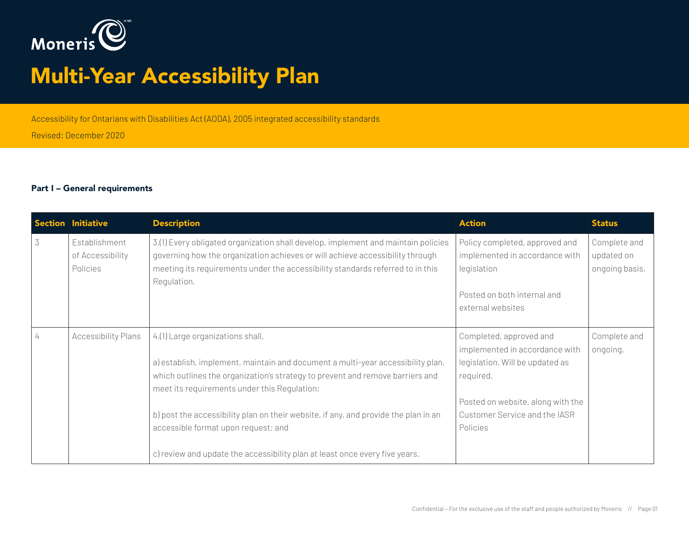

# Multi-Year Accessibility Plan

Accessibility for Ontarians with Disabilities Act (AODA), 2005 integrated accessibility standards

Revised: December 2020

#### Part I – General requirements

|   | Section Initiative                            | <b>Description</b>                                                                                                                                                                                                                                                                                                                                                                                                                                                | <b>Action</b>                                                                                                                                                                               | <b>Status</b>                                |
|---|-----------------------------------------------|-------------------------------------------------------------------------------------------------------------------------------------------------------------------------------------------------------------------------------------------------------------------------------------------------------------------------------------------------------------------------------------------------------------------------------------------------------------------|---------------------------------------------------------------------------------------------------------------------------------------------------------------------------------------------|----------------------------------------------|
| 3 | Establishment<br>of Accessibility<br>Policies | 3.(1) Every obligated organization shall develop, implement and maintain policies<br>governing how the organization achieves or will achieve accessibility through<br>meeting its requirements under the accessibility standards referred to in this<br>Regulation.                                                                                                                                                                                               | Policy completed, approved and<br>implemented in accordance with<br>legislation<br>Posted on both internal and<br>external websites                                                         | Complete and<br>updated on<br>ongoing basis. |
|   | <b>Accessibility Plans</b>                    | 4.(1) Large organizations shall,<br>a) establish, implement, maintain and document a multi-year accessibility plan,<br>which outlines the organization's strategy to prevent and remove barriers and<br>meet its requirements under this Regulation;<br>b) post the accessibility plan on their website, if any, and provide the plan in an<br>accessible format upon request; and<br>c) review and update the accessibility plan at least once every five years. | Completed, approved and<br>implemented in accordance with<br>legislation. Will be updated as<br>required.<br>Posted on website, along with the<br>Customer Service and the IASR<br>Policies | Complete and<br>ongoing.                     |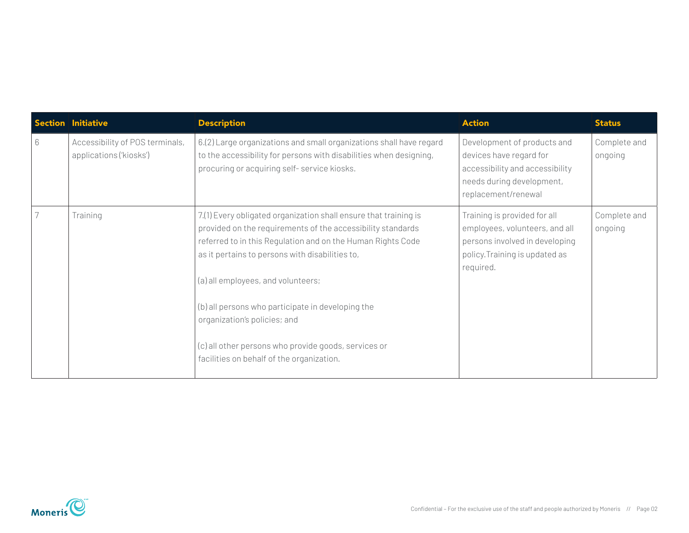|   | Section Initiative                                         | <b>Description</b>                                                                                                                                                                                                                                                                                                                                                                                                                                                                | <b>Action</b>                                                                                                                                   | <b>Status</b>           |
|---|------------------------------------------------------------|-----------------------------------------------------------------------------------------------------------------------------------------------------------------------------------------------------------------------------------------------------------------------------------------------------------------------------------------------------------------------------------------------------------------------------------------------------------------------------------|-------------------------------------------------------------------------------------------------------------------------------------------------|-------------------------|
| 6 | Accessibility of POS terminals,<br>applications ('kiosks') | 6.(2) Large organizations and small organizations shall have regard<br>to the accessibility for persons with disabilities when designing,<br>procuring or acquiring self-service kiosks.                                                                                                                                                                                                                                                                                          | Development of products and<br>devices have regard for<br>accessibility and accessibility<br>needs during development,<br>replacement/renewal   | Complete and<br>ongoing |
|   | Training                                                   | 7.(1) Every obligated organization shall ensure that training is<br>provided on the requirements of the accessibility standards<br>referred to in this Regulation and on the Human Rights Code<br>as it pertains to persons with disabilities to,<br>(a) all employees, and volunteers;<br>(b) all persons who participate in developing the<br>organization's policies; and<br>(c) all other persons who provide goods, services or<br>facilities on behalf of the organization. | Training is provided for all<br>employees, volunteers, and all<br>persons involved in developing<br>policy. Training is updated as<br>required. | Complete and<br>ongoing |

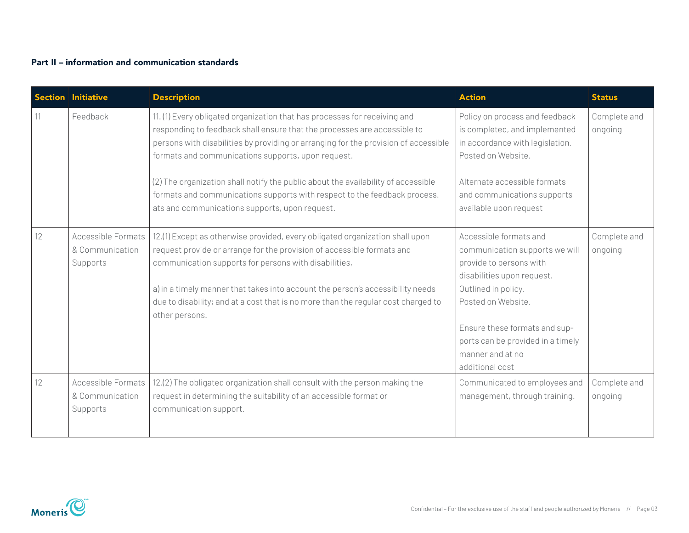### Part II – information and communication standards

| <b>Section</b> | <b>Initiative</b>                                        | <b>Description</b>                                                                                                                                                                                                                                                                                                                                                                                       | <b>Action</b>                                                                                                                                                                                                                                            | <b>Status</b>           |
|----------------|----------------------------------------------------------|----------------------------------------------------------------------------------------------------------------------------------------------------------------------------------------------------------------------------------------------------------------------------------------------------------------------------------------------------------------------------------------------------------|----------------------------------------------------------------------------------------------------------------------------------------------------------------------------------------------------------------------------------------------------------|-------------------------|
|                | Feedback                                                 | 11. (1) Every obligated organization that has processes for receiving and<br>responding to feedback shall ensure that the processes are accessible to<br>persons with disabilities by providing or arranging for the provision of accessible<br>formats and communications supports, upon request.                                                                                                       | Policy on process and feedback<br>is completed, and implemented<br>in accordance with legislation.<br>Posted on Website.                                                                                                                                 | Complete and<br>ongoing |
|                |                                                          | (2) The organization shall notify the public about the availability of accessible<br>formats and communications supports with respect to the feedback process.<br>ats and communications supports, upon request.                                                                                                                                                                                         | Alternate accessible formats<br>and communications supports<br>available upon request                                                                                                                                                                    |                         |
| 12             | <b>Accessible Formats</b><br>& Communication<br>Supports | 12.(1) Except as otherwise provided, every obligated organization shall upon<br>request provide or arrange for the provision of accessible formats and<br>communication supports for persons with disabilities,<br>a) in a timely manner that takes into account the person's accessibility needs<br>due to disability; and at a cost that is no more than the regular cost charged to<br>other persons. | Accessible formats and<br>communication supports we will<br>provide to persons with<br>disabilities upon request.<br>Outlined in policy.<br>Posted on Website.<br>Ensure these formats and sup-<br>ports can be provided in a timely<br>manner and at no | Complete and<br>ongoing |
|                |                                                          |                                                                                                                                                                                                                                                                                                                                                                                                          | additional cost                                                                                                                                                                                                                                          |                         |
| 12.            | <b>Accessible Formats</b><br>& Communication<br>Supports | 12.(2) The obligated organization shall consult with the person making the<br>request in determining the suitability of an accessible format or<br>communication support.                                                                                                                                                                                                                                | Communicated to employees and<br>management, through training.                                                                                                                                                                                           | Complete and<br>ongoing |

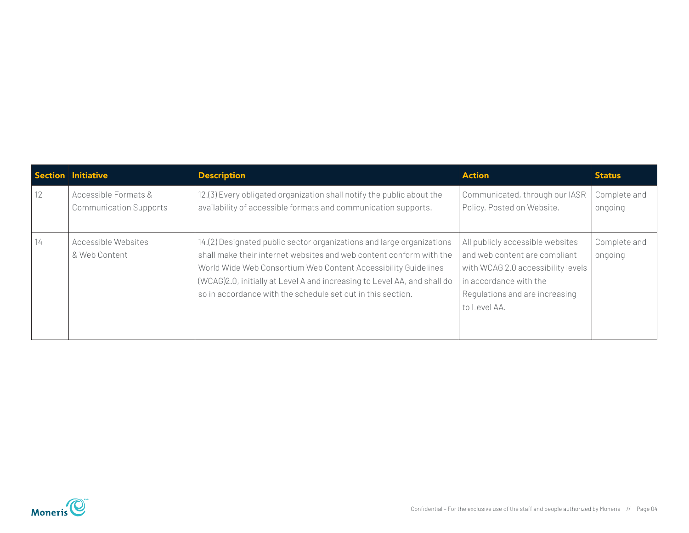|    | Section Initiative                                    | <b>Description</b>                                                                                                                                                                                                                                                                                                                                        | <b>Action</b>                                                                                                                                                                       | <b>Status</b>           |
|----|-------------------------------------------------------|-----------------------------------------------------------------------------------------------------------------------------------------------------------------------------------------------------------------------------------------------------------------------------------------------------------------------------------------------------------|-------------------------------------------------------------------------------------------------------------------------------------------------------------------------------------|-------------------------|
| 12 | Accessible Formats &<br><b>Communication Supports</b> | 12.(3) Every obligated organization shall notify the public about the<br>availability of accessible formats and communication supports.                                                                                                                                                                                                                   | Communicated, through our IASR<br>Policy. Posted on Website.                                                                                                                        | Complete and<br>ongoing |
| 14 | Accessible Websites<br>& Web Content                  | 14.(2) Designated public sector organizations and large organizations<br>shall make their internet websites and web content conform with the<br>World Wide Web Consortium Web Content Accessibility Guidelines<br>(WCAG)2.0, initially at Level A and increasing to Level AA, and shall do<br>so in accordance with the schedule set out in this section. | All publicly accessible websites<br>and web content are compliant<br>with WCAG 2.0 accessibility levels<br>in accordance with the<br>Regulations and are increasing<br>to Level AA. | Complete and<br>ongoing |

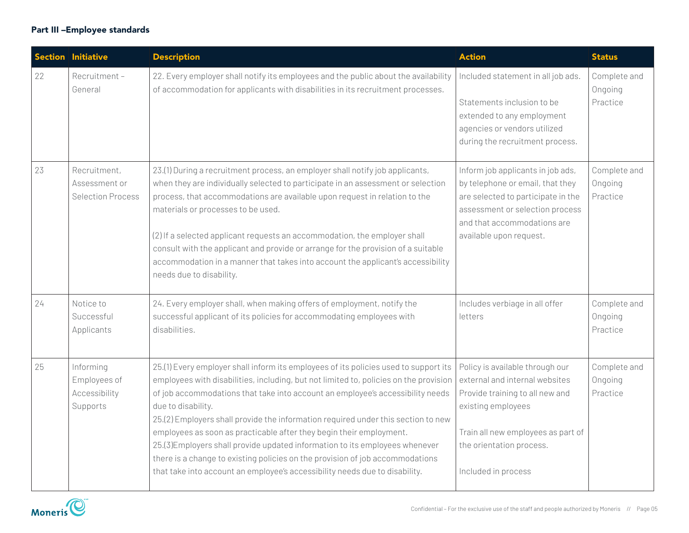## Part III –Employee standards

|    | <b>Section Initiative</b>                                 | <b>Description</b>                                                                                                                                                                                                                                                                                                                                                                                                                                                                                                                                                                                                                                                                                | <b>Action</b>                                                                                                                                                                                                       | <b>Status</b>                       |
|----|-----------------------------------------------------------|---------------------------------------------------------------------------------------------------------------------------------------------------------------------------------------------------------------------------------------------------------------------------------------------------------------------------------------------------------------------------------------------------------------------------------------------------------------------------------------------------------------------------------------------------------------------------------------------------------------------------------------------------------------------------------------------------|---------------------------------------------------------------------------------------------------------------------------------------------------------------------------------------------------------------------|-------------------------------------|
| 22 | Recruitment-<br>General                                   | 22. Every employer shall notify its employees and the public about the availability<br>of accommodation for applicants with disabilities in its recruitment processes.                                                                                                                                                                                                                                                                                                                                                                                                                                                                                                                            | Included statement in all job ads.<br>Statements inclusion to be<br>extended to any employment<br>agencies or vendors utilized<br>during the recruitment process.                                                   | Complete and<br>Ongoing<br>Practice |
| 23 | Recruitment,<br>Assessment or<br><b>Selection Process</b> | 23.(1) During a recruitment process, an employer shall notify job applicants,<br>when they are individually selected to participate in an assessment or selection<br>process, that accommodations are available upon request in relation to the<br>materials or processes to be used.<br>(2) If a selected applicant requests an accommodation, the employer shall<br>consult with the applicant and provide or arrange for the provision of a suitable<br>accommodation in a manner that takes into account the applicant's accessibility<br>needs due to disability.                                                                                                                            | Inform job applicants in job ads,<br>by telephone or email, that they<br>are selected to participate in the<br>assessment or selection process<br>and that accommodations are<br>available upon request.            | Complete and<br>Ongoing<br>Practice |
| 24 | Notice to<br>Successful<br>Applicants                     | 24. Every employer shall, when making offers of employment, notify the<br>successful applicant of its policies for accommodating employees with<br>disabilities.                                                                                                                                                                                                                                                                                                                                                                                                                                                                                                                                  | Includes verbiage in all offer<br>letters                                                                                                                                                                           | Complete and<br>Ongoing<br>Practice |
| 25 | Informing<br>Employees of<br>Accessibility<br>Supports    | 25.(1) Every employer shall inform its employees of its policies used to support its<br>employees with disabilities, including, but not limited to, policies on the provision<br>of job accommodations that take into account an employee's accessibility needs<br>due to disability.<br>25.(2) Employers shall provide the information required under this section to new<br>employees as soon as practicable after they begin their employment.<br>25.(3) Employers shall provide updated information to its employees whenever<br>there is a change to existing policies on the provision of job accommodations<br>that take into account an employee's accessibility needs due to disability. | Policy is available through our<br>external and internal websites<br>Provide training to all new and<br>existing employees<br>Train all new employees as part of<br>the orientation process.<br>Included in process | Complete and<br>Ongoing<br>Practice |

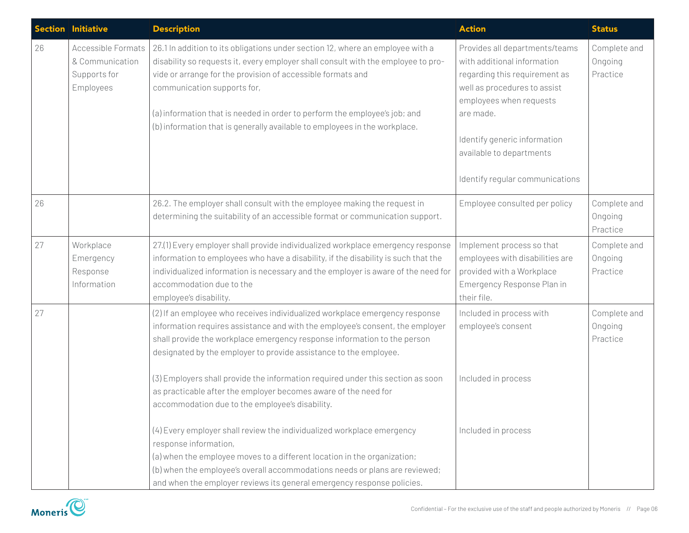|    | Section Initiative                                                 | <b>Description</b>                                                                                                                                                                                                                                                                                                                                                                                                            | <b>Action</b>                                                                                                                                                                                                                                                         | <b>Status</b>                       |
|----|--------------------------------------------------------------------|-------------------------------------------------------------------------------------------------------------------------------------------------------------------------------------------------------------------------------------------------------------------------------------------------------------------------------------------------------------------------------------------------------------------------------|-----------------------------------------------------------------------------------------------------------------------------------------------------------------------------------------------------------------------------------------------------------------------|-------------------------------------|
| 26 | Accessible Formats<br>& Communication<br>Supports for<br>Employees | 26.1 In addition to its obligations under section 12, where an employee with a<br>disability so requests it, every employer shall consult with the employee to pro-<br>vide or arrange for the provision of accessible formats and<br>communication supports for,<br>(a) information that is needed in order to perform the employee's job; and<br>(b) information that is generally available to employees in the workplace. | Provides all departments/teams<br>with additional information<br>regarding this requirement as<br>well as procedures to assist<br>employees when requests<br>are made.<br>Identify generic information<br>available to departments<br>Identify regular communications | Complete and<br>Ongoing<br>Practice |
| 26 |                                                                    | 26.2. The employer shall consult with the employee making the request in<br>determining the suitability of an accessible format or communication support.                                                                                                                                                                                                                                                                     | Employee consulted per policy                                                                                                                                                                                                                                         | Complete and<br>Ongoing<br>Practice |
| 27 | Workplace<br>Emergency<br>Response<br>Information                  | 27.(1) Every employer shall provide individualized workplace emergency response<br>information to employees who have a disability, if the disability is such that the<br>individualized information is necessary and the employer is aware of the need for<br>accommodation due to the<br>employee's disability.                                                                                                              | Implement process so that<br>employees with disabilities are<br>provided with a Workplace<br>Emergency Response Plan in<br>their file.                                                                                                                                | Complete and<br>Ongoing<br>Practice |
| 27 |                                                                    | (2) If an employee who receives individualized workplace emergency response<br>information requires assistance and with the employee's consent, the employer<br>shall provide the workplace emergency response information to the person<br>designated by the employer to provide assistance to the employee.                                                                                                                 | Included in process with<br>employee's consent                                                                                                                                                                                                                        | Complete and<br>Ongoing<br>Practice |
|    |                                                                    | (3) Employers shall provide the information required under this section as soon<br>as practicable after the employer becomes aware of the need for<br>accommodation due to the employee's disability.                                                                                                                                                                                                                         | Included in process                                                                                                                                                                                                                                                   |                                     |
|    |                                                                    | (4) Every employer shall review the individualized workplace emergency<br>response information,<br>(a) when the employee moves to a different location in the organization;<br>(b) when the employee's overall accommodations needs or plans are reviewed;<br>and when the employer reviews its general emergency response policies.                                                                                          | Included in process                                                                                                                                                                                                                                                   |                                     |

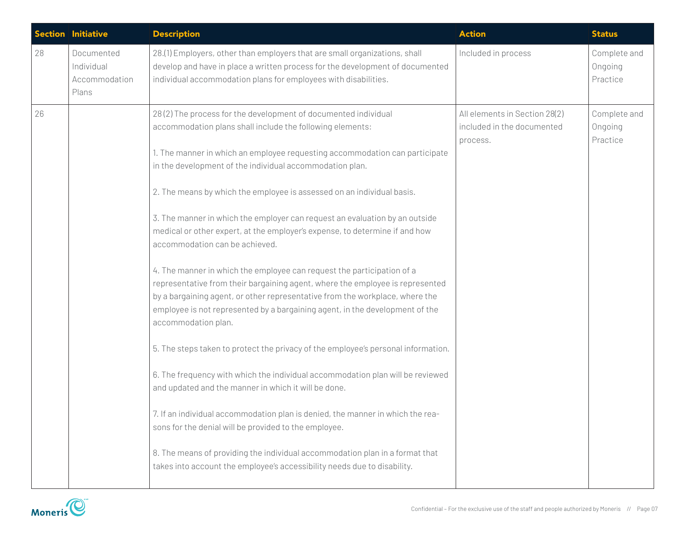|    | Section Initiative                                 | <b>Description</b>                                                                                                                                                                                                                                                                                                                                                                                                                                                                                                                                                                                                                                                                                                                                                                                                                                                                                                                                                                                                                                                                                                                                                                                                                                                                                                                                                                                                                       | <b>Action</b>                                                           | <b>Status</b>                       |
|----|----------------------------------------------------|------------------------------------------------------------------------------------------------------------------------------------------------------------------------------------------------------------------------------------------------------------------------------------------------------------------------------------------------------------------------------------------------------------------------------------------------------------------------------------------------------------------------------------------------------------------------------------------------------------------------------------------------------------------------------------------------------------------------------------------------------------------------------------------------------------------------------------------------------------------------------------------------------------------------------------------------------------------------------------------------------------------------------------------------------------------------------------------------------------------------------------------------------------------------------------------------------------------------------------------------------------------------------------------------------------------------------------------------------------------------------------------------------------------------------------------|-------------------------------------------------------------------------|-------------------------------------|
| 28 | Documented<br>Individual<br>Accommodation<br>Plans | 28.(1) Employers, other than employers that are small organizations, shall<br>develop and have in place a written process for the development of documented<br>individual accommodation plans for employees with disabilities.                                                                                                                                                                                                                                                                                                                                                                                                                                                                                                                                                                                                                                                                                                                                                                                                                                                                                                                                                                                                                                                                                                                                                                                                           | Included in process                                                     | Complete and<br>Ongoing<br>Practice |
| 26 |                                                    | 28(2) The process for the development of documented individual<br>accommodation plans shall include the following elements:<br>1. The manner in which an employee requesting accommodation can participate<br>in the development of the individual accommodation plan.<br>2. The means by which the employee is assessed on an individual basis.<br>3. The manner in which the employer can request an evaluation by an outside<br>medical or other expert, at the employer's expense, to determine if and how<br>accommodation can be achieved.<br>4. The manner in which the employee can request the participation of a<br>representative from their bargaining agent, where the employee is represented<br>by a bargaining agent, or other representative from the workplace, where the<br>employee is not represented by a bargaining agent, in the development of the<br>accommodation plan.<br>5. The steps taken to protect the privacy of the employee's personal information.<br>6. The frequency with which the individual accommodation plan will be reviewed<br>and updated and the manner in which it will be done.<br>7. If an individual accommodation plan is denied, the manner in which the rea-<br>sons for the denial will be provided to the employee.<br>8. The means of providing the individual accommodation plan in a format that<br>takes into account the employee's accessibility needs due to disability. | All elements in Section 28(2)<br>included in the documented<br>process. | Complete and<br>Ongoing<br>Practice |

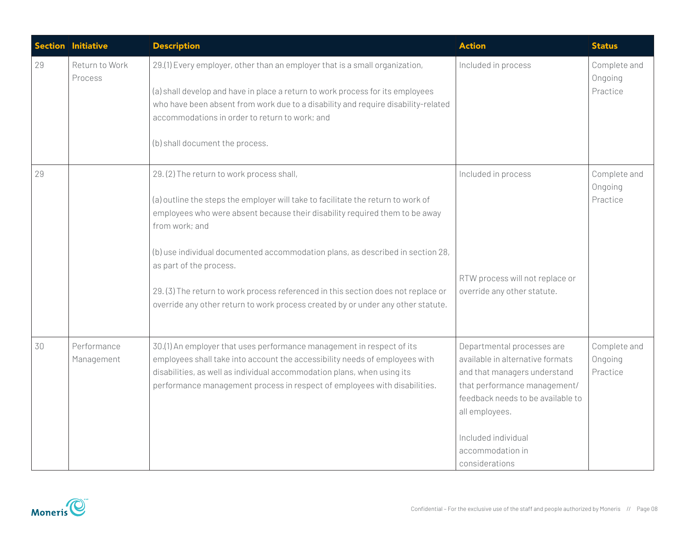| <b>Section</b> | Initiative                | <b>Description</b>                                                                                                                                                                                                                                                                                                                                                                                                                                                                                                   | <b>Action</b>                                                                                                                                                                                                                                      | <b>Status</b>                       |
|----------------|---------------------------|----------------------------------------------------------------------------------------------------------------------------------------------------------------------------------------------------------------------------------------------------------------------------------------------------------------------------------------------------------------------------------------------------------------------------------------------------------------------------------------------------------------------|----------------------------------------------------------------------------------------------------------------------------------------------------------------------------------------------------------------------------------------------------|-------------------------------------|
| 29             | Return to Work<br>Process | 29.(1) Every employer, other than an employer that is a small organization,<br>(a) shall develop and have in place a return to work process for its employees<br>who have been absent from work due to a disability and require disability-related<br>accommodations in order to return to work; and<br>(b) shall document the process.                                                                                                                                                                              | Included in process                                                                                                                                                                                                                                | Complete and<br>Ongoing<br>Practice |
| 29             |                           | 29. (2) The return to work process shall,<br>(a) outline the steps the employer will take to facilitate the return to work of<br>employees who were absent because their disability required them to be away<br>from work; and<br>(b) use individual documented accommodation plans, as described in section 28,<br>as part of the process.<br>29. (3) The return to work process referenced in this section does not replace or<br>override any other return to work process created by or under any other statute. | Included in process<br>RTW process will not replace or<br>override any other statute.                                                                                                                                                              | Complete and<br>Ongoing<br>Practice |
| 30             | Performance<br>Management | 30.(1) An employer that uses performance management in respect of its<br>employees shall take into account the accessibility needs of employees with<br>disabilities, as well as individual accommodation plans, when using its<br>performance management process in respect of employees with disabilities.                                                                                                                                                                                                         | Departmental processes are<br>available in alternative formats<br>and that managers understand<br>that performance management/<br>feedback needs to be available to<br>all employees.<br>Included individual<br>accommodation in<br>considerations | Complete and<br>Ongoing<br>Practice |

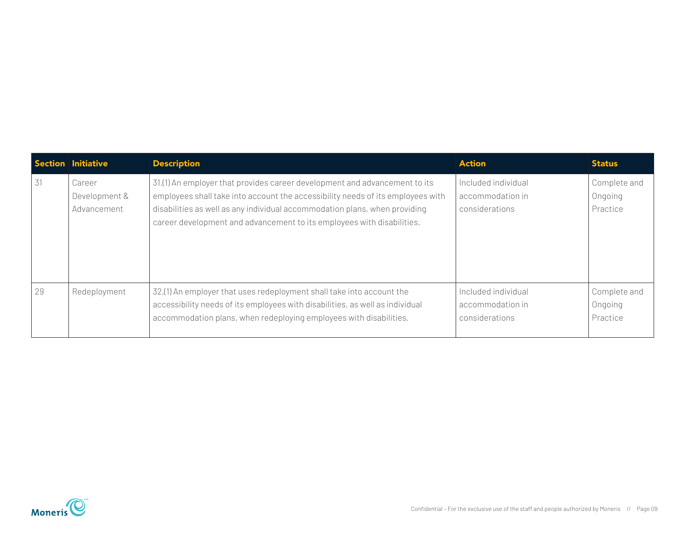|    | Section Initiative                     | <b>Description</b>                                                                                                                                                                                                                                                                                                    | <b>Action</b>                                             | <b>Status</b>                       |
|----|----------------------------------------|-----------------------------------------------------------------------------------------------------------------------------------------------------------------------------------------------------------------------------------------------------------------------------------------------------------------------|-----------------------------------------------------------|-------------------------------------|
| 31 | Career<br>Development &<br>Advancement | 31.(1) An employer that provides career development and advancement to its<br>employees shall take into account the accessibility needs of its employees with<br>disabilities as well as any individual accommodation plans, when providing<br>career development and advancement to its employees with disabilities. | Included individual<br>accommodation in<br>considerations | Complete and<br>Ongoing<br>Practice |
| 29 | Redeployment                           | 32.(1) An employer that uses redeployment shall take into account the<br>accessibility needs of its employees with disabilities, as well as individual<br>accommodation plans, when redeploying employees with disabilities.                                                                                          | Included individual<br>accommodation in<br>considerations | Complete and<br>Ongoing<br>Practice |

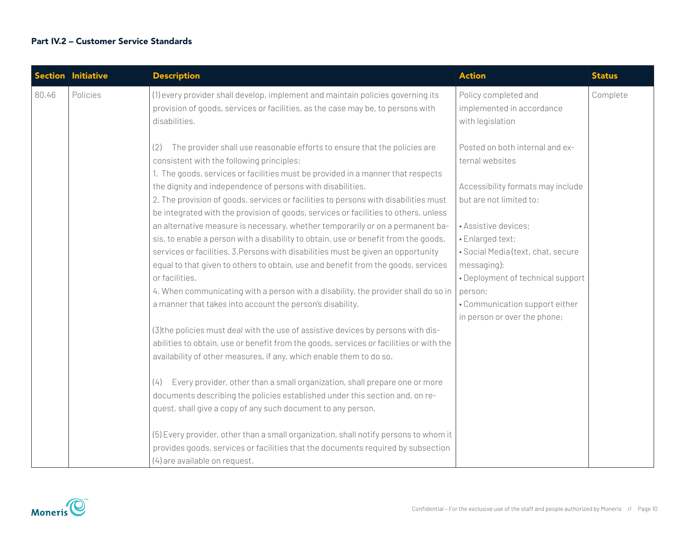### Part IV.2 – Customer Service Standards

|       | <b>Section Initiative</b> | <b>Description</b>                                                                                                                                                                                                                                         | <b>Action</b>                                                                  | <b>Status</b> |
|-------|---------------------------|------------------------------------------------------------------------------------------------------------------------------------------------------------------------------------------------------------------------------------------------------------|--------------------------------------------------------------------------------|---------------|
| 80.46 | Policies                  | (1) every provider shall develop, implement and maintain policies governing its<br>provision of goods, services or facilities, as the case may be, to persons with<br>disabilities.                                                                        | Policy completed and<br>implemented in accordance<br>with legislation          | Complete      |
|       |                           | The provider shall use reasonable efforts to ensure that the policies are<br>(2)<br>consistent with the following principles:<br>1. The goods, services or facilities must be provided in a manner that respects                                           | Posted on both internal and ex-<br>ternal websites                             |               |
|       |                           | the dignity and independence of persons with disabilities.<br>2. The provision of goods, services or facilities to persons with disabilities must<br>be integrated with the provision of goods, services or facilities to others, unless                   | Accessibility formats may include<br>but are not limited to:                   |               |
|       |                           | an alternative measure is necessary, whether temporarily or on a permanent ba-<br>sis, to enable a person with a disability to obtain, use or benefit from the goods,<br>services or facilities. 3. Persons with disabilities must be given an opportunity | • Assistive devices;<br>· Enlarged text;<br>· Social Media (text, chat, secure |               |
|       |                           | equal to that given to others to obtain, use and benefit from the goods, services<br>or facilities.<br>4. When communicating with a person with a disability, the provider shall do so in                                                                  | messaging);<br>• Deployment of technical support<br>person;                    |               |
|       |                           | a manner that takes into account the person's disability.                                                                                                                                                                                                  | • Communication support either<br>in person or over the phone;                 |               |
|       |                           | (3) the policies must deal with the use of assistive devices by persons with dis-<br>abilities to obtain, use or benefit from the goods, services or facilities or with the<br>availability of other measures, if any, which enable them to do so.         |                                                                                |               |
|       |                           | Every provider, other than a small organization, shall prepare one or more<br>(4)<br>documents describing the policies established under this section and, on re-                                                                                          |                                                                                |               |
|       |                           | quest, shall give a copy of any such document to any person.                                                                                                                                                                                               |                                                                                |               |
|       |                           | (5) Every provider, other than a small organization, shall notify persons to whom it<br>provides goods, services or facilities that the documents required by subsection<br>(4) are available on request.                                                  |                                                                                |               |

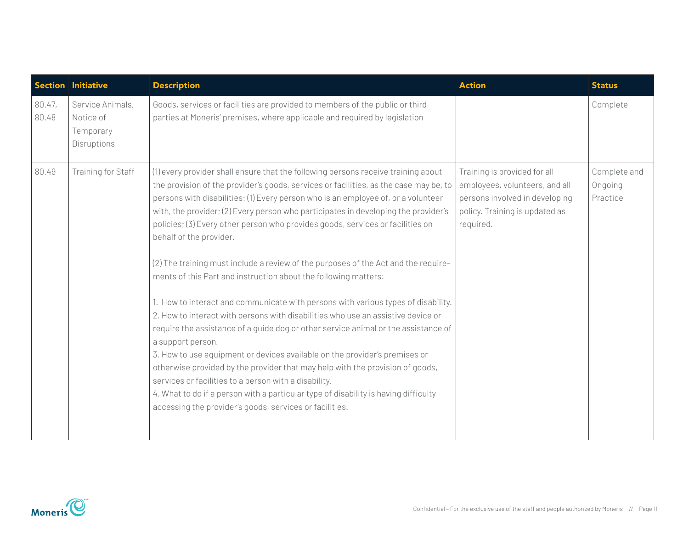| <b>Section</b>  | <b>Initiative</b>                                         | <b>Description</b>                                                                                                                                                                                                                                                                                                                                                                                                                                                                                                                                                                                                                                                                                                                                                                                                                                                                                                                                                                                                                                                                                                                                                                                                                                                                        | <b>Action</b>                                                                                                                                   | <b>Status</b>                       |
|-----------------|-----------------------------------------------------------|-------------------------------------------------------------------------------------------------------------------------------------------------------------------------------------------------------------------------------------------------------------------------------------------------------------------------------------------------------------------------------------------------------------------------------------------------------------------------------------------------------------------------------------------------------------------------------------------------------------------------------------------------------------------------------------------------------------------------------------------------------------------------------------------------------------------------------------------------------------------------------------------------------------------------------------------------------------------------------------------------------------------------------------------------------------------------------------------------------------------------------------------------------------------------------------------------------------------------------------------------------------------------------------------|-------------------------------------------------------------------------------------------------------------------------------------------------|-------------------------------------|
| 80.47,<br>80.48 | Service Animals,<br>Notice of<br>Temporary<br>Disruptions | Goods, services or facilities are provided to members of the public or third<br>parties at Moneris' premises, where applicable and required by legislation                                                                                                                                                                                                                                                                                                                                                                                                                                                                                                                                                                                                                                                                                                                                                                                                                                                                                                                                                                                                                                                                                                                                |                                                                                                                                                 | Complete                            |
| 80.49           | Training for Staff                                        | (1) every provider shall ensure that the following persons receive training about<br>the provision of the provider's goods, services or facilities, as the case may be, to<br>persons with disabilities: (1) Every person who is an employee of, or a volunteer<br>with, the provider; (2) Every person who participates in developing the provider's<br>policies; (3) Every other person who provides goods, services or facilities on<br>behalf of the provider.<br>(2) The training must include a review of the purposes of the Act and the require-<br>ments of this Part and instruction about the following matters:<br>1. How to interact and communicate with persons with various types of disability.<br>2. How to interact with persons with disabilities who use an assistive device or<br>require the assistance of a guide dog or other service animal or the assistance of<br>a support person.<br>3. How to use equipment or devices available on the provider's premises or<br>otherwise provided by the provider that may help with the provision of goods,<br>services or facilities to a person with a disability.<br>4. What to do if a person with a particular type of disability is having difficulty<br>accessing the provider's goods, services or facilities. | Training is provided for all<br>employees, volunteers, and all<br>persons involved in developing<br>policy. Training is updated as<br>required. | Complete and<br>Ongoing<br>Practice |